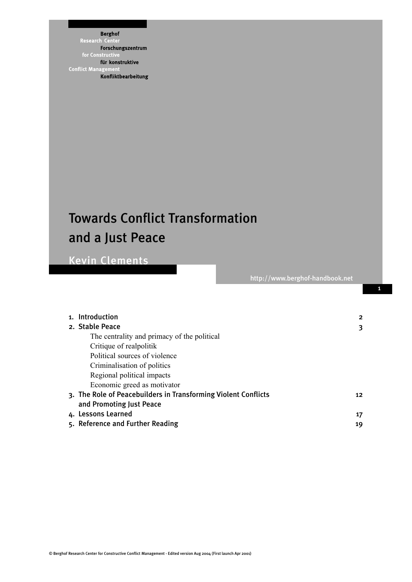**Berghof Research Cente** Forschungszentrum for Constructive für konstruktive **Conflict Manag** Konfliktbearbeitung

# Towards Conflict Transformation and a Just Peace

Kevin Clements

http://www.berghof-handbook.net

| $\mathbf{2}$ |
|--------------|
| 3            |
|              |
|              |
|              |
|              |
|              |
|              |
| 12           |
|              |
| 17           |
| 19           |
|              |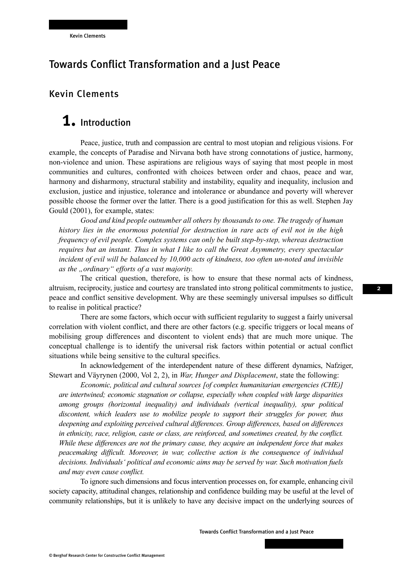### Towards Conflict Transformation and a Just Peace

### Kevin Clements

## 1. Introduction

Peace, justice, truth and compassion are central to most utopian and religious visions. For example, the concepts of Paradise and Nirvana both have strong connotations of justice, harmony, non-violence and union. These aspirations are religious ways of saying that most people in most communities and cultures, confronted with choices between order and chaos, peace and war, harmony and disharmony, structural stability and instability, equality and inequality, inclusion and exclusion, justice and injustice, tolerance and intolerance or abundance and poverty will wherever possible choose the former over the latter. There is a good justification for this as well. Stephen Jay Gould (2001), for example, states:

*Good and kind people outnumber all others by thousands to one. The tragedy of human history lies in the enormous potential for destruction in rare acts of evil not in the high frequency of evil people. Complex systems can only be built step-by-step, whereas destruction requires but an instant. Thus in what I like to call the Great Asymmetry, every spectacular incident of evil will be balanced by 10,000 acts of kindness, too often un-noted and invisible as the "ordinary" efforts of a vast majority.* 

The critical question, therefore, is how to ensure that these normal acts of kindness, altruism, reciprocity, justice and courtesy are translated into strong political commitments to justice, peace and conflict sensitive development. Why are these seemingly universal impulses so difficult to realise in political practice?

There are some factors, which occur with sufficient regularity to suggest a fairly universal correlation with violent conflict, and there are other factors (e.g. specific triggers or local means of mobilising group differences and discontent to violent ends) that are much more unique. The conceptual challenge is to identify the universal risk factors within potential or actual conflict situations while being sensitive to the cultural specifics.

In acknowledgement of the interdependent nature of these different dynamics, Nafziger, Stewart and Väyrynen (2000, Vol 2, 2), in *War, Hunger and Displacement*, state the following:

*Economic, political and cultural sources [of complex humanitarian emergencies (CHE)] are intertwined; economic stagnation or collapse, especially when coupled with large disparities among groups (horizontal inequality) and individuals (vertical inequality), spur political discontent, which leaders use to mobilize people to support their struggles for power, thus deepening and exploiting perceived cultural differences. Group differences, based on differences in ethnicity, race, religion, caste or class, are reinforced, and sometimes created, by the conflict. While these differences are not the primary cause, they acquire an independent force that makes peacemaking difficult. Moreover, in war, collective action is the consequence of individual decisions. Individuals' political and economic aims may be served by war. Such motivation fuels and may even cause conflict.* 

To ignore such dimensions and focus intervention processes on, for example, enhancing civil society capacity, attitudinal changes, relationship and confidence building may be useful at the level of community relationships, but it is unlikely to have any decisive impact on the underlying sources of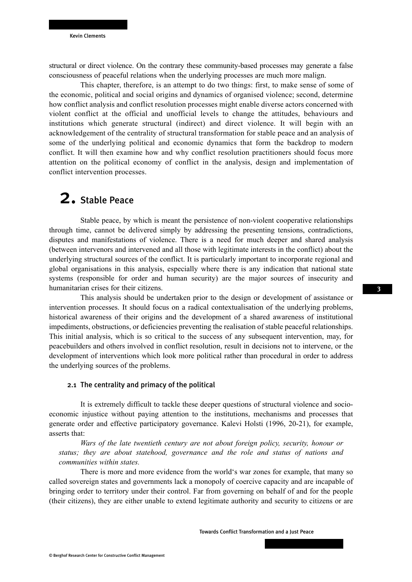structural or direct violence. On the contrary these community-based processes may generate a false consciousness of peaceful relations when the underlying processes are much more malign.

This chapter, therefore, is an attempt to do two things: first, to make sense of some of the economic, political and social origins and dynamics of organised violence; second, determine how conflict analysis and conflict resolution processes might enable diverse actors concerned with violent conflict at the official and unofficial levels to change the attitudes, behaviours and institutions which generate structural (indirect) and direct violence. It will begin with an acknowledgement of the centrality of structural transformation for stable peace and an analysis of some of the underlying political and economic dynamics that form the backdrop to modern conflict. It will then examine how and why conflict resolution practitioners should focus more attention on the political economy of conflict in the analysis, design and implementation of conflict intervention processes.

## 2. Stable Peace

Stable peace, by which is meant the persistence of non-violent cooperative relationships through time, cannot be delivered simply by addressing the presenting tensions, contradictions, disputes and manifestations of violence. There is a need for much deeper and shared analysis (between intervenors and intervened and all those with legitimate interests in the conflict) about the underlying structural sources of the conflict. It is particularly important to incorporate regional and global organisations in this analysis, especially where there is any indication that national state systems (responsible for order and human security) are the major sources of insecurity and humanitarian crises for their citizens.

This analysis should be undertaken prior to the design or development of assistance or intervention processes. It should focus on a radical contextualisation of the underlying problems, historical awareness of their origins and the development of a shared awareness of institutional impediments, obstructions, or deficiencies preventing the realisation of stable peaceful relationships. This initial analysis, which is so critical to the success of any subsequent intervention, may, for peacebuilders and others involved in conflict resolution, result in decisions not to intervene, or the development of interventions which look more political rather than procedural in order to address the underlying sources of the problems.

#### 2.1 The centrality and primacy of the political

It is extremely difficult to tackle these deeper questions of structural violence and socioeconomic injustice without paying attention to the institutions, mechanisms and processes that generate order and effective participatory governance. Kalevi Holsti (1996, 20-21), for example, asserts that:

*Wars of the late twentieth century are not about foreign policy, security, honour or status; they are about statehood, governance and the role and status of nations and communities within states.* 

There is more and more evidence from the world's war zones for example, that many so called sovereign states and governments lack a monopoly of coercive capacity and are incapable of bringing order to territory under their control. Far from governing on behalf of and for the people (their citizens), they are either unable to extend legitimate authority and security to citizens or are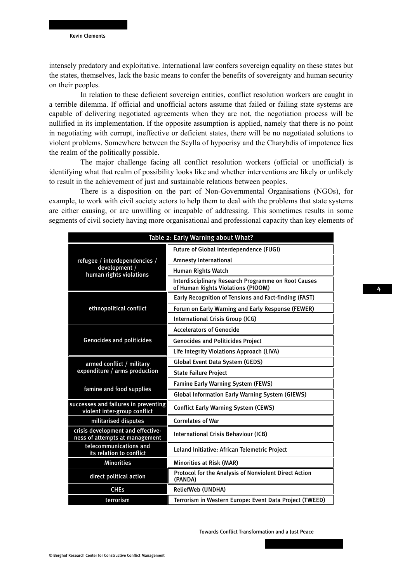intensely predatory and exploitative. International law confers sovereign equality on these states but the states, themselves, lack the basic means to confer the benefits of sovereignty and human security on their peoples.

In relation to these deficient sovereign entities, conflict resolution workers are caught in a terrible dilemma. If official and unofficial actors assume that failed or failing state systems are capable of delivering negotiated agreements when they are not, the negotiation process will be nullified in its implementation. If the opposite assumption is applied, namely that there is no point in negotiating with corrupt, ineffective or deficient states, there will be no negotiated solutions to violent problems. Somewhere between the Scylla of hypocrisy and the Charybdis of impotence lies the realm of the politically possible.

The major challenge facing all conflict resolution workers (official or unofficial) is identifying what that realm of possibility looks like and whether interventions are likely or unlikely to result in the achievement of just and sustainable relations between peoples.

There is a disposition on the part of Non-Governmental Organisations (NGOs), for example, to work with civil society actors to help them to deal with the problems that state systems are either causing, or are unwilling or incapable of addressing. This sometimes results in some segments of civil society having more organisational and professional capacity than key elements of

| Table 2: Early Warning about What?                                        |                                                                                                  |  |
|---------------------------------------------------------------------------|--------------------------------------------------------------------------------------------------|--|
| refugee / interdependencies /<br>development /<br>human rights violations | Future of Global Interdependence (FUGI)                                                          |  |
|                                                                           | <b>Amnesty International</b>                                                                     |  |
|                                                                           | <b>Human Rights Watch</b>                                                                        |  |
|                                                                           | <b>Interdisciplinary Research Programme on Root Causes</b><br>of Human Rights Violations (PIOOM) |  |
| ethnopolitical conflict                                                   | Early Recognition of Tensions and Fact-finding (FAST)                                            |  |
|                                                                           | Forum on Early Warning and Early Response (FEWER)                                                |  |
|                                                                           | <b>International Crisis Group (ICG)</b>                                                          |  |
| <b>Genocides and politicides</b>                                          | <b>Accelerators of Genocide</b>                                                                  |  |
|                                                                           | <b>Genocides and Politicides Project</b>                                                         |  |
|                                                                           | Life Integrity Violations Approach (LIVA)                                                        |  |
| armed conflict / military<br>expenditure / arms production                | Global Event Data System (GEDS)                                                                  |  |
|                                                                           | <b>State Failure Project</b>                                                                     |  |
| famine and food supplies                                                  | <b>Famine Early Warning System (FEWS)</b>                                                        |  |
|                                                                           | <b>Global Information Early Warning System (GIEWS)</b>                                           |  |
| successes and failures in preventing<br>violent inter-group conflict      | <b>Conflict Early Warning System (CEWS)</b>                                                      |  |
| militarised disputes                                                      | <b>Correlates of War</b>                                                                         |  |
| crisis development and effective-<br>ness of attempts at management       | International Crisis Behaviour (ICB)                                                             |  |
| telecommunications and<br>its relation to conflict                        | Leland Initiative: African Telemetric Project                                                    |  |
| <b>Minorities</b>                                                         | <b>Minorities at Risk (MAR)</b>                                                                  |  |
| direct political action                                                   | Protocol for the Analysis of Nonviolent Direct Action<br>(PANDA)                                 |  |
| <b>CHEs</b>                                                               | <b>ReliefWeb (UNDHA)</b>                                                                         |  |
| terrorism                                                                 | Terrorism in Western Europe: Event Data Project (TWEED)                                          |  |

Towards Conflict Transformation and a Just Peace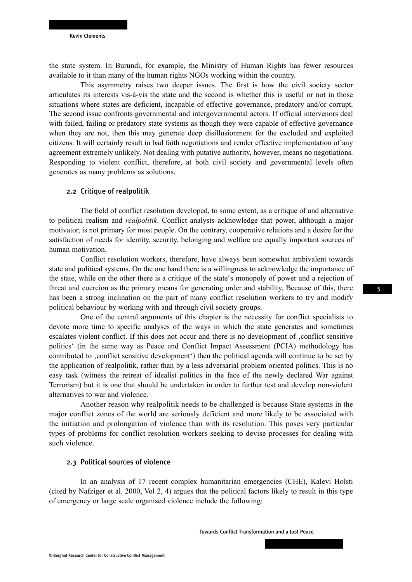the state system. In Burundi, for example, the Ministry of Human Rights has fewer resources available to it than many of the human rights NGOs working within the country.

This asymmetry raises two deeper issues. The first is how the civil society sector articulates its interests vis-à-vis the state and the second is whether this is useful or not in those situations where states are deficient, incapable of effective governance, predatory and/or corrupt. The second issue confronts governmental and intergovernmental actors. If official intervenors deal with failed, failing or predatory state systems as though they were capable of effective governance when they are not, then this may generate deep disillusionment for the excluded and exploited citizens. It will certainly result in bad faith negotiations and render effective implementation of any agreement extremely unlikely. Not dealing with putative authority, however, means no negotiations. Responding to violent conflict, therefore, at both civil society and governmental levels often generates as many problems as solutions.

#### 2.2 Critique of realpolitik

The field of conflict resolution developed, to some extent, as a critique of and alternative to political realism and *realpolitik*. Conflict analysts acknowledge that power, although a major motivator, is not primary for most people. On the contrary, cooperative relations and a desire for the satisfaction of needs for identity, security, belonging and welfare are equally important sources of human motivation.

Conflict resolution workers, therefore, have always been somewhat ambivalent towards state and political systems. On the one hand there is a willingness to acknowledge the importance of the state, while on the other there is a critique of the state's monopoly of power and a rejection of threat and coercion as the primary means for generating order and stability. Because of this, there has been a strong inclination on the part of many conflict resolution workers to try and modify political behaviour by working with and through civil society groups.

One of the central arguments of this chapter is the necessity for conflict specialists to devote more time to specific analyses of the ways in which the state generates and sometimes escalates violent conflict. If this does not occur and there is no development of , conflict sensitive politics' (in the same way as Peace and Conflict Impact Assessment (PCIA) methodology has contributed to 'conflict sensitive development') then the political agenda will continue to be set by the application of realpolitik, rather than by a less adversarial problem oriented politics. This is no easy task (witness the retreat of idealist politics in the face of the newly declared War against Terrorism) but it is one that should be undertaken in order to further test and develop non-violent alternatives to war and violence.

Another reason why realpolitik needs to be challenged is because State systems in the major conflict zones of the world are seriously deficient and more likely to be associated with the initiation and prolongation of violence than with its resolution. This poses very particular types of problems for conflict resolution workers seeking to devise processes for dealing with such violence.

#### 2.3 Political sources of violence

In an analysis of 17 recent complex humanitarian emergencies (CHE), Kalevi Holsti (cited by Nafziger et al. 2000, Vol 2, 4) argues that the political factors likely to result in this type of emergency or large scale organised violence include the following: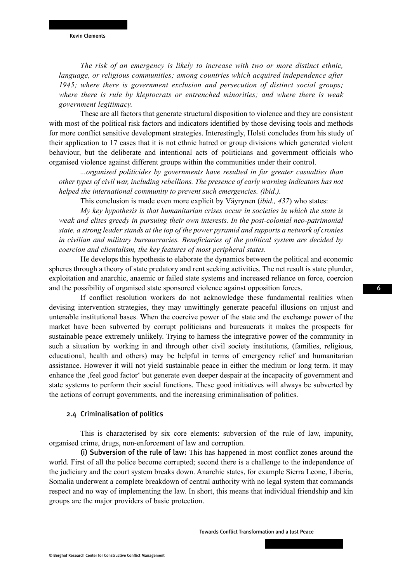*The risk of an emergency is likely to increase with two or more distinct ethnic, language, or religious communities; among countries which acquired independence after 1945; where there is government exclusion and persecution of distinct social groups; where there is rule by kleptocrats or entrenched minorities; and where there is weak government legitimacy.* 

These are all factors that generate structural disposition to violence and they are consistent with most of the political risk factors and indicators identified by those devising tools and methods for more conflict sensitive development strategies. Interestingly, Holsti concludes from his study of their application to 17 cases that it is not ethnic hatred or group divisions which generated violent behaviour, but the deliberate and intentional acts of politicians and government officials who organised violence against different groups within the communities under their control.

*...organised politicides by governments have resulted in far greater casualties than other types of civil war, including rebellions. The presence of early warning indicators has not helped the international community to prevent such emergencies. (ibid.).* 

This conclusion is made even more explicit by Väyrynen (*ibid., 437*) who states:

*My key hypothesis is that humanitarian crises occur in societies in which the state is weak and elites greedy in pursuing their own interests. In the post-colonial neo-patrimonial state, a strong leader stands at the top of the power pyramid and supports a network of cronies in civilian and military bureaucracies. Beneficiaries of the political system are decided by coercion and clientalism, the key features of most peripheral states.* 

He develops this hypothesis to elaborate the dynamics between the political and economic spheres through a theory of state predatory and rent seeking activities. The net result is state plunder, exploitation and anarchic, anaemic or failed state systems and increased reliance on force, coercion and the possibility of organised state sponsored violence against opposition forces.

If conflict resolution workers do not acknowledge these fundamental realities when devising intervention strategies, they may unwittingly generate peaceful illusions on unjust and untenable institutional bases. When the coercive power of the state and the exchange power of the market have been subverted by corrupt politicians and bureaucrats it makes the prospects for sustainable peace extremely unlikely. Trying to harness the integrative power of the community in such a situation by working in and through other civil society institutions, (families, religious, educational, health and others) may be helpful in terms of emergency relief and humanitarian assistance. However it will not yield sustainable peace in either the medium or long term. It may enhance the 'feel good factor' but generate even deeper despair at the incapacity of government and state systems to perform their social functions. These good initiatives will always be subverted by the actions of corrupt governments, and the increasing criminalisation of politics.

#### 2.4 Criminalisation of politics

This is characterised by six core elements: subversion of the rule of law, impunity, organised crime, drugs, non-enforcement of law and corruption.

(i) Subversion of the rule of law: This has happened in most conflict zones around the world. First of all the police become corrupted; second there is a challenge to the independence of the judiciary and the court system breaks down. Anarchic states, for example Sierra Leone, Liberia, Somalia underwent a complete breakdown of central authority with no legal system that commands respect and no way of implementing the law. In short, this means that individual friendship and kin groups are the major providers of basic protection.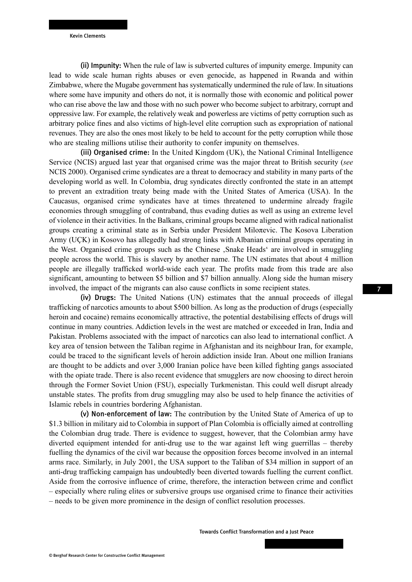(ii) Impunity: When the rule of law is subverted cultures of impunity emerge. Impunity can lead to wide scale human rights abuses or even genocide, as happened in Rwanda and within Zimbabwe, where the Mugabe government has systematically undermined the rule of law. In situations where some have impunity and others do not, it is normally those with economic and political power who can rise above the law and those with no such power who become subject to arbitrary, corrupt and oppressive law. For example, the relatively weak and powerless are victims of petty corruption such as arbitrary police fines and also victims of high-level elite corruption such as expropriation of national revenues. They are also the ones most likely to be held to account for the petty corruption while those who are stealing millions utilise their authority to confer impunity on themselves.

(iii) Organised crime: In the United Kingdom (UK), the National Criminal Intelligence Service (NCIS) argued last year that organised crime was the major threat to British security (*see* NCIS 2000). Organised crime syndicates are a threat to democracy and stability in many parts of the developing world as well. In Colombia, drug syndicates directly confronted the state in an attempt to prevent an extradition treaty being made with the United States of America (USA). In the Caucasus, organised crime syndicates have at times threatened to undermine already fragile economies through smuggling of contraband, thus evading duties as well as using an extreme level of violence in their activities. In the Balkans, criminal groups became aligned with radical nationalist groups creating a criminal state as in Serbia under President Miloπevic. The Kosova Liberation Army (UÇK) in Kosovo has allegedly had strong links with Albanian criminal groups operating in the West. Organised crime groups such as the Chinese , Snake Heads' are involved in smuggling people across the world. This is slavery by another name. The UN estimates that about 4 million people are illegally trafficked world-wide each year. The profits made from this trade are also significant, amounting to between \$5 billion and \$7 billion annually. Along side the human misery involved, the impact of the migrants can also cause conflicts in some recipient states.

(iv) Drugs: The United Nations (UN) estimates that the annual proceeds of illegal trafficking of narcotics amounts to about \$500 billion. As long as the production of drugs (especially heroin and cocaine) remains economically attractive, the potential destabilising effects of drugs will continue in many countries. Addiction levels in the west are matched or exceeded in Iran, India and Pakistan. Problems associated with the impact of narcotics can also lead to international conflict. A key area of tension between the Taliban regime in Afghanistan and its neighbour Iran, for example, could be traced to the significant levels of heroin addiction inside Iran. About one million Iranians are thought to be addicts and over 3,000 Iranian police have been killed fighting gangs associated with the opiate trade. There is also recent evidence that smugglers are now choosing to direct heroin through the Former Soviet Union (FSU), especially Turkmenistan. This could well disrupt already unstable states. The profits from drug smuggling may also be used to help finance the activities of Islamic rebels in countries bordering Afghanistan.

(v) Non-enforcement of law: The contribution by the United State of America of up to \$1.3 billion in military aid to Colombia in support of Plan Colombia is officially aimed at controlling the Colombian drug trade. There is evidence to suggest, however, that the Colombian army have diverted equipment intended for anti-drug use to the war against left wing guerrillas – thereby fuelling the dynamics of the civil war because the opposition forces become involved in an internal arms race. Similarly, in July 2001, the USA support to the Taliban of \$34 million in support of an anti-drug trafficking campaign has undoubtedly been diverted towards fuelling the current conflict. Aside from the corrosive influence of crime, therefore, the interaction between crime and conflict – especially where ruling elites or subversive groups use organised crime to finance their activities – needs to be given more prominence in the design of conflict resolution processes.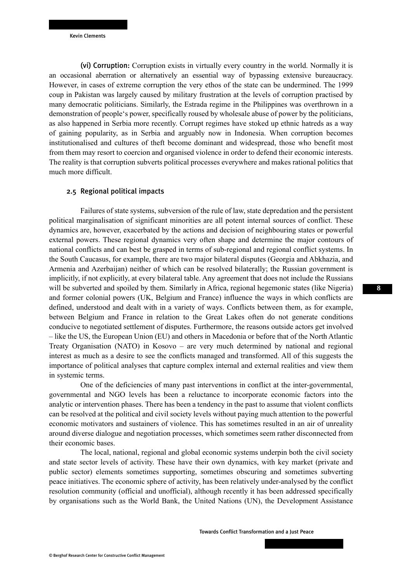(vi) Corruption: Corruption exists in virtually every country in the world. Normally it is an occasional aberration or alternatively an essential way of bypassing extensive bureaucracy. However, in cases of extreme corruption the very ethos of the state can be undermined. The 1999 coup in Pakistan was largely caused by military frustration at the levels of corruption practised by many democratic politicians. Similarly, the Estrada regime in the Philippines was overthrown in a demonstration of people's power, specifically roused by wholesale abuse of power by the politicians, as also happened in Serbia more recently. Corrupt regimes have stoked up ethnic hatreds as a way of gaining popularity, as in Serbia and arguably now in Indonesia. When corruption becomes institutionalised and cultures of theft become dominant and widespread, those who benefit most from them may resort to coercion and organised violence in order to defend their economic interests. The reality is that corruption subverts political processes everywhere and makes rational politics that much more difficult.

#### 2.5 Regional political impacts

Failures of state systems, subversion of the rule of law, state depredation and the persistent political marginalisation of significant minorities are all potent internal sources of conflict. These dynamics are, however, exacerbated by the actions and decision of neighbouring states or powerful external powers. These regional dynamics very often shape and determine the major contours of national conflicts and can best be grasped in terms of sub-regional and regional conflict systems. In the South Caucasus, for example, there are two major bilateral disputes (Georgia and Abkhazia, and Armenia and Azerbaijan) neither of which can be resolved bilaterally; the Russian government is implicitly, if not explicitly, at every bilateral table. Any agreement that does not include the Russians will be subverted and spoiled by them. Similarly in Africa, regional hegemonic states (like Nigeria) and former colonial powers (UK, Belgium and France) influence the ways in which conflicts are defined, understood and dealt with in a variety of ways. Conflicts between them, as for example, between Belgium and France in relation to the Great Lakes often do not generate conditions conducive to negotiated settlement of disputes. Furthermore, the reasons outside actors get involved – like the US, the European Union (EU) and others in Macedonia or before that of the North Atlantic Treaty Organisation (NATO) in Kosovo – are very much determined by national and regional interest as much as a desire to see the conflicts managed and transformed. All of this suggests the importance of political analyses that capture complex internal and external realities and view them in systemic terms.

One of the deficiencies of many past interventions in conflict at the inter-governmental, governmental and NGO levels has been a reluctance to incorporate economic factors into the analytic or intervention phases. There has been a tendency in the past to assume that violent conflicts can be resolved at the political and civil society levels without paying much attention to the powerful economic motivators and sustainers of violence. This has sometimes resulted in an air of unreality around diverse dialogue and negotiation processes, which sometimes seem rather disconnected from their economic bases.

The local, national, regional and global economic systems underpin both the civil society and state sector levels of activity. These have their own dynamics, with key market (private and public sector) elements sometimes supporting, sometimes obscuring and sometimes subverting peace initiatives. The economic sphere of activity, has been relatively under-analysed by the conflict resolution community (official and unofficial), although recently it has been addressed specifically by organisations such as the World Bank, the United Nations (UN), the Development Assistance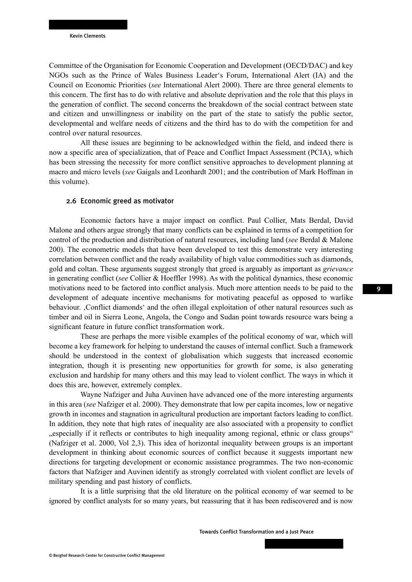Committee of the Organisation for Economic Cooperation and Development (OECD/DAC) and key NGOs such as the Prince of Wales Business Leader's Forum, International Alert (IA) and the Council on Economic Priorities (*see* International Alert 2000). There are three general elements to this concern. The first has to do with relative and absolute deprivation and the role that this plays in the generation of conflict. The second concerns the breakdown of the social contract between state and citizen and unwillingness or inability on the part of the state to satisfy the public sector, developmental and welfare needs of citizens and the third has to do with the competition for and control over natural resources.

All these issues are beginning to be acknowledged within the field, and indeed there is now a specific area of specialization, that of Peace and Conflict Impact Assessment (PCIA), which has been stressing the necessity for more conflict sensitive approaches to development planning at macro and micro levels (*see* Gaigals and Leonhardt 2001; and the contribution of Mark Hoffman in this volume).

#### 2.6 Economic greed as motivator

Economic factors have a major impact on conflict. Paul Collier, Mats Berdal, David Malone and others argue strongly that many conflicts can be explained in terms of a competition for control of the production and distribution of natural resources, including land (*see* Berdal & Malone 200). The econometric models that have been developed to test this demonstrate very interesting correlation between conflict and the ready availability of high value commodities such as diamonds, gold and coltan. These arguments suggest strongly that greed is arguably as important as *grievance* in generating conflict (*see* Collier & Hoeffler 1998). As with the political dynamics, these economic motivations need to be factored into conflict analysis. Much more attention needs to be paid to the development of adequate incentive mechanisms for motivating peaceful as opposed to warlike behaviour. Conflict diamonds' and the often illegal exploitation of other natural resources such as timber and oil in Sierra Leone, Angola, the Congo and Sudan point towards resource wars being a significant feature in future conflict transformation work.

These are perhaps the more visible examples of the political economy of war, which will become a key framework for helping to understand the causes of internal conflict. Such a framework should be understood in the context of globalisation which suggests that increased economic integration, though it is presenting new opportunities for growth for some, is also generating exclusion and hardship for many others and this may lead to violent conflict. The ways in which it does this are, however, extremely complex.

Wayne Nafziger and Juha Auvinen have advanced one of the more interesting arguments in this area (*see* Nafziger et al. 2000). They demonstrate that low per capita incomes, low or negative growth in incomes and stagnation in agricultural production are important factors leading to conflict. In addition, they note that high rates of inequality are also associated with a propensity to conflict "especially if it reflects or contributes to high inequality among regional, ethnic or class groups" (Nafziger et al. 2000, Vol 2,3). This idea of horizontal inequality between groups is an important development in thinking about economic sources of conflict because it suggests important new directions for targeting development or economic assistance programmes. The two non-economic factors that Nafziger and Auvinen identify as strongly correlated with violent conflict are levels of military spending and past history of conflicts.

It is a little surprising that the old literature on the political economy of war seemed to be ignored by conflict analysts for so many years, but reassuring that it has been rediscovered and is now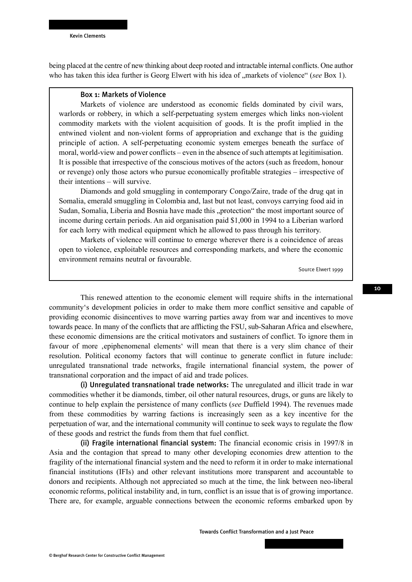being placed at the centre of new thinking about deep rooted and intractable internal conflicts. One author who has taken this idea further is Georg Elwert with his idea of  $\Box$ markets of violence" (*see* Box 1).

#### Box 1: Markets of Violence

Markets of violence are understood as economic fields dominated by civil wars, warlords or robbery, in which a self-perpetuating system emerges which links non-violent commodity markets with the violent acquisition of goods. It is the profit implied in the entwined violent and non-violent forms of appropriation and exchange that is the guiding principle of action. A self-perpetuating economic system emerges beneath the surface of moral, world-view and power conflicts – even in the absence of such attempts at legitimisation. It is possible that irrespective of the conscious motives of the actors (such as freedom, honour or revenge) only those actors who pursue economically profitable strategies – irrespective of their intentions – will survive.

Diamonds and gold smuggling in contemporary Congo/Zaire, trade of the drug qat in Somalia, emerald smuggling in Colombia and, last but not least, convoys carrying food aid in Sudan, Somalia, Liberia and Bosnia have made this "protection" the most important source of income during certain periods. An aid organisation paid \$1,000 in 1994 to a Liberian warlord for each lorry with medical equipment which he allowed to pass through his territory.

Markets of violence will continue to emerge wherever there is a coincidence of areas open to violence, exploitable resources and corresponding markets, and where the economic environment remains neutral or favourable.

Source Elwert 1999

This renewed attention to the economic element will require shifts in the international community's development policies in order to make them more conflict sensitive and capable of providing economic disincentives to move warring parties away from war and incentives to move towards peace. In many of the conflicts that are afflicting the FSU, sub-Saharan Africa and elsewhere, these economic dimensions are the critical motivators and sustainers of conflict. To ignore them in favour of more epiphenomenal elements' will mean that there is a very slim chance of their resolution. Political economy factors that will continue to generate conflict in future include: unregulated transnational trade networks, fragile international financial system, the power of transnational corporation and the impact of aid and trade polices.

(i) Unregulated transnational trade networks: The unregulated and illicit trade in war commodities whether it be diamonds, timber, oil other natural resources, drugs, or guns are likely to continue to help explain the persistence of many conflicts (*see* Duffield 1994). The revenues made from these commodities by warring factions is increasingly seen as a key incentive for the perpetuation of war, and the international community will continue to seek ways to regulate the flow of these goods and restrict the funds from them that fuel conflict.

(ii) Fragile international financial system: The financial economic crisis in 1997/8 in Asia and the contagion that spread to many other developing economies drew attention to the fragility of the international financial system and the need to reform it in order to make international financial institutions (IFIs) and other relevant institutions more transparent and accountable to donors and recipients. Although not appreciated so much at the time, the link between neo-liberal economic reforms, political instability and, in turn, conflict is an issue that is of growing importance. There are, for example, arguable connections between the economic reforms embarked upon by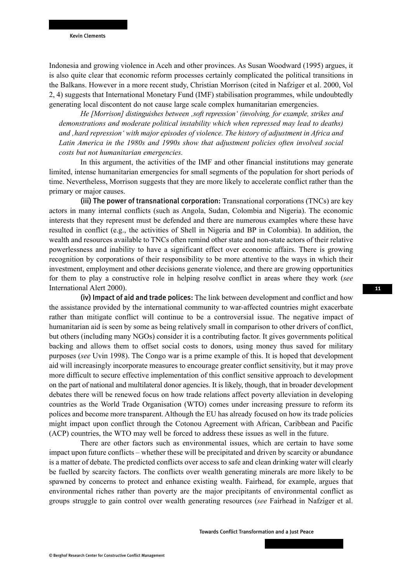Indonesia and growing violence in Aceh and other provinces. As Susan Woodward (1995) argues, it is also quite clear that economic reform processes certainly complicated the political transitions in the Balkans. However in a more recent study, Christian Morrison (cited in Nafziger et al. 2000, Vol 2, 4) suggests that International Monetary Fund (IMF) stabilisation programmes, while undoubtedly generating local discontent do not cause large scale complex humanitarian emergencies.

*He [Morrison] distinguishes between 'soft repression' (involving, for example, strikes and demonstrations and moderate political instability which when repressed may lead to deaths) and 'hard repression' with major episodes of violence. The history of adjustment in Africa and Latin America in the 1980s and 1990s show that adjustment policies often involved social costs but not humanitarian emergencies.* 

In this argument, the activities of the IMF and other financial institutions may generate limited, intense humanitarian emergencies for small segments of the population for short periods of time. Nevertheless, Morrison suggests that they are more likely to accelerate conflict rather than the primary or major causes.

(iii) The power of transnational corporation: Transnational corporations (TNCs) are key actors in many internal conflicts (such as Angola, Sudan, Colombia and Nigeria). The economic interests that they represent must be defended and there are numerous examples where these have resulted in conflict (e.g., the activities of Shell in Nigeria and BP in Colombia). In addition, the wealth and resources available to TNCs often remind other state and non-state actors of their relative powerlessness and inability to have a significant effect over economic affairs. There is growing recognition by corporations of their responsibility to be more attentive to the ways in which their investment, employment and other decisions generate violence, and there are growing opportunities for them to play a constructive role in helping resolve conflict in areas where they work (*see* International Alert 2000).

(iv) Impact of aid and trade polices: The link between development and conflict and how the assistance provided by the international community to war-affected countries might exacerbate rather than mitigate conflict will continue to be a controversial issue. The negative impact of humanitarian aid is seen by some as being relatively small in comparison to other drivers of conflict, but others (including many NGOs) consider it is a contributing factor. It gives governments political backing and allows them to offset social costs to donors, using money thus saved for military purposes (*see* Uvin 1998). The Congo war is a prime example of this. It is hoped that development aid will increasingly incorporate measures to encourage greater conflict sensitivity, but it may prove more difficult to secure effective implementation of this conflict sensitive approach to development on the part of national and multilateral donor agencies. It is likely, though, that in broader development debates there will be renewed focus on how trade relations affect poverty alleviation in developing countries as the World Trade Organisation (WTO) comes under increasing pressure to reform its polices and become more transparent. Although the EU has already focused on how its trade policies might impact upon conflict through the Cotonou Agreement with African, Caribbean and Pacific (ACP) countries, the WTO may well be forced to address these issues as well in the future.

There are other factors such as environmental issues, which are certain to have some impact upon future conflicts – whether these will be precipitated and driven by scarcity or abundance is a matter of debate. The predicted conflicts over access to safe and clean drinking water will clearly be fuelled by scarcity factors. The conflicts over wealth generating minerals are more likely to be spawned by concerns to protect and enhance existing wealth. Fairhead, for example, argues that environmental riches rather than poverty are the major precipitants of environmental conflict as groups struggle to gain control over wealth generating resources (*see* Fairhead in Nafziger et al.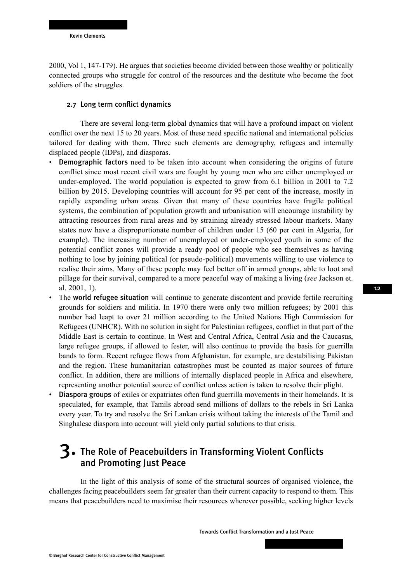2000, Vol 1, 147-179). He argues that societies become divided between those wealthy or politically connected groups who struggle for control of the resources and the destitute who become the foot soldiers of the struggles.

#### 2.7 Long term conflict dynamics

There are several long-term global dynamics that will have a profound impact on violent conflict over the next 15 to 20 years. Most of these need specific national and international policies tailored for dealing with them. Three such elements are demography, refugees and internally displaced people (IDPs), and diasporas.

- Demographic factors need to be taken into account when considering the origins of future conflict since most recent civil wars are fought by young men who are either unemployed or under-employed. The world population is expected to grow from 6.1 billion in 2001 to 7.2 billion by 2015. Developing countries will account for 95 per cent of the increase, mostly in rapidly expanding urban areas. Given that many of these countries have fragile political systems, the combination of population growth and urbanisation will encourage instability by attracting resources from rural areas and by straining already stressed labour markets. Many states now have a disproportionate number of children under 15 (60 per cent in Algeria, for example). The increasing number of unemployed or under-employed youth in some of the potential conflict zones will provide a ready pool of people who see themselves as having nothing to lose by joining political (or pseudo-political) movements willing to use violence to realise their aims. Many of these people may feel better off in armed groups, able to loot and pillage for their survival, compared to a more peaceful way of making a living (*see* Jackson et. al. 2001, 1).
- The **world refugee situation** will continue to generate discontent and provide fertile recruiting grounds for soldiers and militia. In 1970 there were only two million refugees; by 2001 this number had leapt to over 21 million according to the United Nations High Commission for Refugees (UNHCR). With no solution in sight for Palestinian refugees, conflict in that part of the Middle East is certain to continue. In West and Central Africa, Central Asia and the Caucasus, large refugee groups, if allowed to fester, will also continue to provide the basis for guerrilla bands to form. Recent refugee flows from Afghanistan, for example, are destabilising Pakistan and the region. These humanitarian catastrophes must be counted as major sources of future conflict. In addition, there are millions of internally displaced people in Africa and elsewhere, representing another potential source of conflict unless action is taken to resolve their plight.
- Diaspora groups of exiles or expatriates often fund guerrilla movements in their homelands. It is speculated, for example, that Tamils abroad send millions of dollars to the rebels in Sri Lanka every year. To try and resolve the Sri Lankan crisis without taking the interests of the Tamil and Singhalese diaspora into account will yield only partial solutions to that crisis.

## 3. The Role of Peacebuilders in Transforming Violent Conflicts and Promoting Just Peace

In the light of this analysis of some of the structural sources of organised violence, the challenges facing peacebuilders seem far greater than their current capacity to respond to them. This means that peacebuilders need to maximise their resources wherever possible, seeking higher levels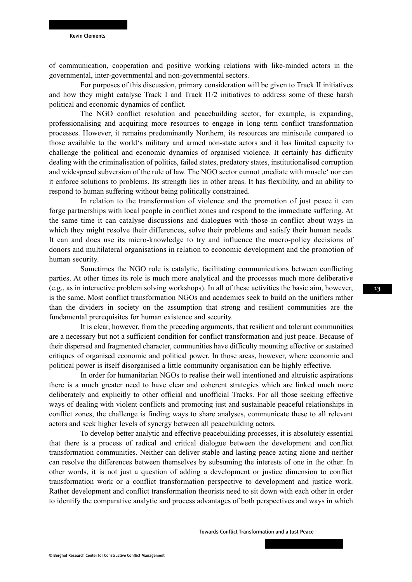of communication, cooperation and positive working relations with like-minded actors in the governmental, inter-governmental and non-governmental sectors.

For purposes of this discussion, primary consideration will be given to Track II initiatives and how they might catalyse Track I and Track I1/2 initiatives to address some of these harsh political and economic dynamics of conflict.

The NGO conflict resolution and peacebuilding sector, for example, is expanding, professionalising and acquiring more resources to engage in long term conflict transformation processes. However, it remains predominantly Northern, its resources are miniscule compared to those available to the world's military and armed non-state actors and it has limited capacity to challenge the political and economic dynamics of organised violence. It certainly has difficulty dealing with the criminalisation of politics, failed states, predatory states, institutionalised corruption and widespread subversion of the rule of law. The NGO sector cannot , mediate with muscle' nor can it enforce solutions to problems. Its strength lies in other areas. It has flexibility, and an ability to respond to human suffering without being politically constrained.

In relation to the transformation of violence and the promotion of just peace it can forge partnerships with local people in conflict zones and respond to the immediate suffering. At the same time it can catalyse discussions and dialogues with those in conflict about ways in which they might resolve their differences, solve their problems and satisfy their human needs. It can and does use its micro-knowledge to try and influence the macro-policy decisions of donors and multilateral organisations in relation to economic development and the promotion of human security.

Sometimes the NGO role is catalytic, facilitating communications between conflicting parties. At other times its role is much more analytical and the processes much more deliberative (e.g., as in interactive problem solving workshops). In all of these activities the basic aim, however, is the same. Most conflict transformation NGOs and academics seek to build on the unifiers rather than the dividers in society on the assumption that strong and resilient communities are the fundamental prerequisites for human existence and security.

It is clear, however, from the preceding arguments, that resilient and tolerant communities are a necessary but not a sufficient condition for conflict transformation and just peace. Because of their dispersed and fragmented character, communities have difficulty mounting effective or sustained critiques of organised economic and political power. In those areas, however, where economic and political power is itself disorganised a little community organisation can be highly effective.

In order for humanitarian NGOs to realise their well intentioned and altruistic aspirations there is a much greater need to have clear and coherent strategies which are linked much more deliberately and explicitly to other official and unofficial Tracks. For all those seeking effective ways of dealing with violent conflicts and promoting just and sustainable peaceful relationships in conflict zones, the challenge is finding ways to share analyses, communicate these to all relevant actors and seek higher levels of synergy between all peacebuilding actors.

To develop better analytic and effective peacebuilding processes, it is absolutely essential that there is a process of radical and critical dialogue between the development and conflict transformation communities. Neither can deliver stable and lasting peace acting alone and neither can resolve the differences between themselves by subsuming the interests of one in the other. In other words, it is not just a question of adding a development or justice dimension to conflict transformation work or a conflict transformation perspective to development and justice work. Rather development and conflict transformation theorists need to sit down with each other in order to identify the comparative analytic and process advantages of both perspectives and ways in which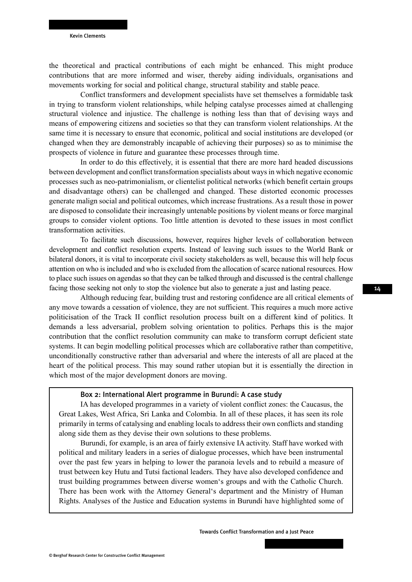the theoretical and practical contributions of each might be enhanced. This might produce contributions that are more informed and wiser, thereby aiding individuals, organisations and movements working for social and political change, structural stability and stable peace.

Conflict transformers and development specialists have set themselves a formidable task in trying to transform violent relationships, while helping catalyse processes aimed at challenging structural violence and injustice. The challenge is nothing less than that of devising ways and means of empowering citizens and societies so that they can transform violent relationships. At the same time it is necessary to ensure that economic, political and social institutions are developed (or changed when they are demonstrably incapable of achieving their purposes) so as to minimise the prospects of violence in future and guarantee these processes through time.

In order to do this effectively, it is essential that there are more hard headed discussions between development and conflict transformation specialists about ways in which negative economic processes such as neo-patrimonialism, or clientelist political networks (which benefit certain groups and disadvantage others) can be challenged and changed. These distorted economic processes generate malign social and political outcomes, which increase frustrations. As a result those in power are disposed to consolidate their increasingly untenable positions by violent means or force marginal groups to consider violent options. Too little attention is devoted to these issues in most conflict transformation activities.

To facilitate such discussions, however, requires higher levels of collaboration between development and conflict resolution experts. Instead of leaving such issues to the World Bank or bilateral donors, it is vital to incorporate civil society stakeholders as well, because this will help focus attention on who is included and who is excluded from the allocation of scarce national resources. How to place such issues on agendas so that they can be talked through and discussed is the central challenge facing those seeking not only to stop the violence but also to generate a just and lasting peace.

Although reducing fear, building trust and restoring confidence are all critical elements of any move towards a cessation of violence, they are not sufficient. This requires a much more active politicisation of the Track II conflict resolution process built on a different kind of politics. It demands a less adversarial, problem solving orientation to politics. Perhaps this is the major contribution that the conflict resolution community can make to transform corrupt deficient state systems. It can begin modelling political processes which are collaborative rather than competitive, unconditionally constructive rather than adversarial and where the interests of all are placed at the heart of the political process. This may sound rather utopian but it is essentially the direction in which most of the major development donors are moving.

#### Box 2: International Alert programme in Burundi: A case study

IA has developed programmes in a variety of violent conflict zones: the Caucasus, the Great Lakes, West Africa, Sri Lanka and Colombia. In all of these places, it has seen its role primarily in terms of catalysing and enabling locals to address their own conflicts and standing along side them as they devise their own solutions to these problems.

Burundi, for example, is an area of fairly extensive IA activity. Staff have worked with political and military leaders in a series of dialogue processes, which have been instrumental over the past few years in helping to lower the paranoia levels and to rebuild a measure of trust between key Hutu and Tutsi factional leaders. They have also developed confidence and trust building programmes between diverse women's groups and with the Catholic Church. There has been work with the Attorney General's department and the Ministry of Human Rights. Analyses of the Justice and Education systems in Burundi have highlighted some of

Towards Conflict Transformation and a Just Peace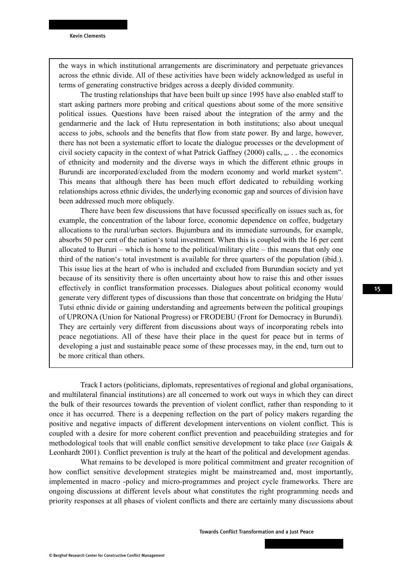the ways in which institutional arrangements are discriminatory and perpetuate grievances across the ethnic divide. All of these activities have been widely acknowledged as useful in terms of generating constructive bridges across a deeply divided community.

The trusting relationships that have been built up since 1995 have also enabled staff to start asking partners more probing and critical questions about some of the more sensitive political issues. Questions have been raised about the integration of the army and the gendarmerie and the lack of Hutu representation in both institutions; also about unequal access to jobs, schools and the benefits that flow from state power. By and large, however, there has not been a systematic effort to locate the dialogue processes or the development of civil society capacity in the context of what Patrick Gaffney  $(2000)$  calls,  $\dots$ . the economics of ethnicity and modernity and the diverse ways in which the different ethnic groups in Burundi are incorporated/excluded from the modern economy and world market system". This means that although there has been much effort dedicated to rebuilding working relationships across ethnic divides, the underlying economic gap and sources of division have been addressed much more obliquely.

There have been few discussions that have focussed specifically on issues such as, for example, the concentration of the labour force, economic dependence on coffee, budgetary allocations to the rural/urban sectors. Bujumbura and its immediate surrounds, for example, absorbs 50 per cent of the nation's total investment. When this is coupled with the 16 per cent allocated to Bururi – which is home to the political/military elite – this means that only one third of the nation's total investment is available for three quarters of the population (ibid.). This issue lies at the heart of who is included and excluded from Burundian society and yet because of its sensitivity there is often uncertainty about how to raise this and other issues effectively in conflict transformation processes. Dialogues about political economy would generate very different types of discussions than those that concentrate on bridging the Hutu/ Tutsi ethnic divide or gaining understanding and agreements between the political groupings of UPRONA (Union for National Progress) or FRODEBU (Front for Democracy in Burundi). They are certainly very different from discussions about ways of incorporating rebels into peace negotiations. All of these have their place in the quest for peace but in terms of developing a just and sustainable peace some of these processes may, in the end, turn out to be more critical than others.

Track I actors (politicians, diplomats, representatives of regional and global organisations, and multilateral financial institutions) are all concerned to work out ways in which they can direct the bulk of their resources towards the prevention of violent conflict, rather than responding to it once it has occurred. There is a deepening reflection on the part of policy makers regarding the positive and negative impacts of different development interventions on violent conflict. This is coupled with a desire for more coherent conflict prevention and peacebuilding strategies and for methodological tools that will enable conflict sensitive development to take place (*see* Gaigals & Leonhardt 2001). Conflict prevention is truly at the heart of the political and development agendas.

What remains to be developed is more political commitment and greater recognition of how conflict sensitive development strategies might be mainstreamed and, most importantly, implemented in macro -policy and micro-programmes and project cycle frameworks. There are ongoing discussions at different levels about what constitutes the right programming needs and priority responses at all phases of violent conflicts and there are certainly many discussions about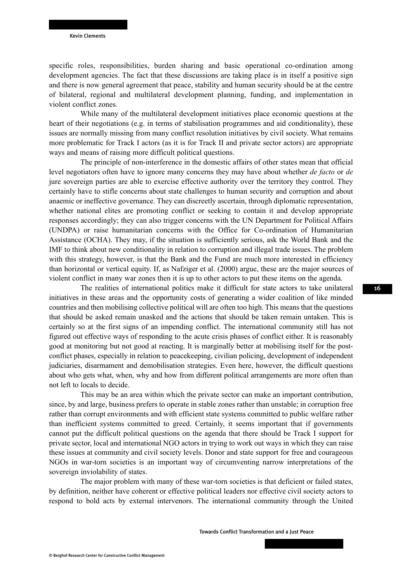specific roles, responsibilities, burden sharing and basic operational co-ordination among development agencies. The fact that these discussions are taking place is in itself a positive sign and there is now general agreement that peace, stability and human security should be at the centre of bilateral, regional and multilateral development planning, funding, and implementation in violent conflict zones.

While many of the multilateral development initiatives place economic questions at the heart of their negotiations (e.g. in terms of stabilisation programmes and aid conditionality), these issues are normally missing from many conflict resolution initiatives by civil society. What remains more problematic for Track I actors (as it is for Track II and private sector actors) are appropriate ways and means of raising more difficult political questions.

The principle of non-interference in the domestic affairs of other states mean that official level negotiators often have to ignore many concerns they may have about whether *de facto* or *de* jure sovereign parties are able to exercise effective authority over the territory they control. They certainly have to stifle concerns about state challenges to human security and corruption and about anaemic or ineffective governance. They can discreetly ascertain, through diplomatic representation, whether national elites are promoting conflict or seeking to contain it and develop appropriate responses accordingly; they can also trigger concerns with the UN Department for Political Affairs (UNDPA) or raise humanitarian concerns with the Office for Co-ordination of Humanitarian Assistance (OCHA). They may, if the situation is sufficiently serious, ask the World Bank and the IMF to think about new conditionality in relation to corruption and illegal trade issues. The problem with this strategy, however, is that the Bank and the Fund are much more interested in efficiency than horizontal or vertical equity. If, as Nafziger et al. (2000) argue, these are the major sources of violent conflict in many war zones then it is up to other actors to put these items on the agenda.

The realities of international politics make it difficult for state actors to take unilateral initiatives in these areas and the opportunity costs of generating a wider coalition of like minded countries and then mobilising collective political will are often too high. This means that the questions that should be asked remain unasked and the actions that should be taken remain untaken. This is certainly so at the first signs of an impending conflict. The international community still has not figured out effective ways of responding to the acute crisis phases of conflict either. It is reasonably good at monitoring but not good at reacting. It is marginally better at mobilising itself for the postconflict phases, especially in relation to peacekeeping, civilian policing, development of independent judiciaries, disarmament and demobilisation strategies. Even here, however, the difficult questions about who gets what, when, why and how from different political arrangements are more often than not left to locals to decide.

This may be an area within which the private sector can make an important contribution, since, by and large, business prefers to operate in stable zones rather than unstable; in corruption free rather than corrupt environments and with efficient state systems committed to public welfare rather than inefficient systems committed to greed. Certainly, it seems important that if governments cannot put the difficult political questions on the agenda that there should be Track I support for private sector, local and international NGO actors in trying to work out ways in which they can raise these issues at community and civil society levels. Donor and state support for free and courageous NGOs in war-torn societies is an important way of circumventing narrow interpretations of the sovereign inviolability of states.

The major problem with many of these war-torn societies is that deficient or failed states, by definition, neither have coherent or effective political leaders nor effective civil society actors to respond to bold acts by external intervenors. The international community through the United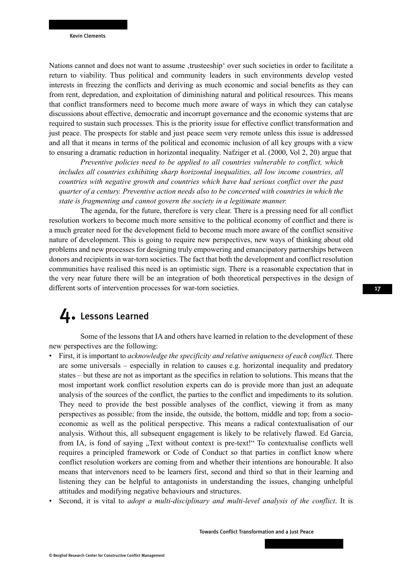Nations cannot and does not want to assume, trusteeship' over such societies in order to facilitate a return to viability. Thus political and community leaders in such environments develop vested interests in freezing the conflicts and deriving as much economic and social benefits as they can from rent, depredation, and exploitation of diminishing natural and political resources. This means that conflict transformers need to become much more aware of ways in which they can catalyse discussions about effective, democratic and incorrupt governance and the economic systems that are required to sustain such processes. This is the priority issue for effective conflict transformation and just peace. The prospects for stable and just peace seem very remote unless this issue is addressed and all that it means in terms of the political and economic inclusion of all key groups with a view to ensuring a dramatic reduction in horizontal inequality. Nafziger et al. (2000, Vol 2, 20) argue that

*Preventive policies need to be applied to all countries vulnerable to conflict, which includes all countries exhibiting sharp horizontal inequalities, all low income countries, all countries with negative growth and countries which have had serious conflict over the past quarter of a century. Preventive action needs also to be concerned with countries in which the state is fragmenting and cannot govern the society in a legitimate manner.* 

The agenda, for the future, therefore is very clear. There is a pressing need for all conflict resolution workers to become much more sensitive to the political economy of conflict and there is a much greater need for the development field to become much more aware of the conflict sensitive nature of development. This is going to require new perspectives, new ways of thinking about old problems and new processes for designing truly empowering and emancipatory partnerships between donors and recipients in war-torn societies. The fact that both the development and conflict resolution communities have realised this need is an optimistic sign. There is a reasonable expectation that in the very near future there will be an integration of both theoretical perspectives in the design of different sorts of intervention processes for war-torn societies.

## 4. Lessons Learned

Some of the lessons that IA and others have learned in relation to the development of these new perspectives are the following:

- First, it is important to *acknowledge the specificity and relative uniqueness of each conflict.* There are some universals – especially in relation to causes e.g. horizontal inequality and predatory states – but these are not as important as the specifics in relation to solutions. This means that the most important work conflict resolution experts can do is provide more than just an adequate analysis of the sources of the conflict, the parties to the conflict and impediments to its solution. They need to provide the best possible analyses of the conflict, viewing it from as many perspectives as possible; from the inside, the outside, the bottom, middle and top; from a socioeconomic as well as the political perspective. This means a radical contextualisation of our analysis. Without this, all subsequent engagement is likely to be relatively flawed. Ed Garcia, from IA, is fond of saying "Text without context is pre-text!" To contextualise conflicts well requires a principled framework or Code of Conduct so that parties in conflict know where conflict resolution workers are coming from and whether their intentions are honourable. It also means that intervenors need to be learners first, second and third so that in their learning and listening they can be helpful to antagonists in understanding the issues, changing unhelpful attitudes and modifying negative behaviours and structures.
- Second, it is vital to *adopt a multi-disciplinary and multi-level analysis of the conflict*. It is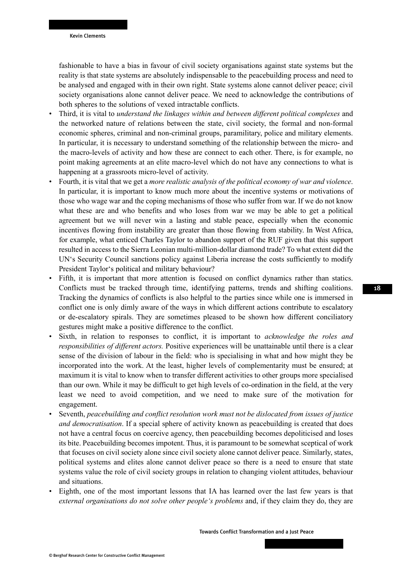fashionable to have a bias in favour of civil society organisations against state systems but the reality is that state systems are absolutely indispensable to the peacebuilding process and need to be analysed and engaged with in their own right. State systems alone cannot deliver peace; civil society organisations alone cannot deliver peace. We need to acknowledge the contributions of both spheres to the solutions of vexed intractable conflicts.

- Third, it is vital to *understand the linkages within and between different political complexes* and the networked nature of relations between the state, civil society, the formal and non-formal economic spheres, criminal and non-criminal groups, paramilitary, police and military elements. In particular, it is necessary to understand something of the relationship between the micro- and the macro-levels of activity and how these are connect to each other. There, is for example, no point making agreements at an elite macro-level which do not have any connections to what is happening at a grassroots micro-level of activity.
- Fourth, it is vital that we get a *more realistic analysis of the political economy of war and violence*. In particular, it is important to know much more about the incentive systems or motivations of those who wage war and the coping mechanisms of those who suffer from war. If we do not know what these are and who benefits and who loses from war we may be able to get a political agreement but we will never win a lasting and stable peace, especially when the economic incentives flowing from instability are greater than those flowing from stability. In West Africa, for example, what enticed Charles Taylor to abandon support of the RUF given that this support resulted in access to the Sierra Leonian multi-million-dollar diamond trade? To what extent did the UN's Security Council sanctions policy against Liberia increase the costs sufficiently to modify President Taylor's political and military behaviour?
- Fifth, it is important that more attention is focused on conflict dynamics rather than statics. Conflicts must be tracked through time, identifying patterns, trends and shifting coalitions. Tracking the dynamics of conflicts is also helpful to the parties since while one is immersed in conflict one is only dimly aware of the ways in which different actions contribute to escalatory or de-escalatory spirals. They are sometimes pleased to be shown how different conciliatory gestures might make a positive difference to the conflict.
- Sixth, in relation to responses to conflict, it is important to *acknowledge the roles and responsibilities of different actors.* Positive experiences will be unattainable until there is a clear sense of the division of labour in the field: who is specialising in what and how might they be incorporated into the work. At the least, higher levels of complementarity must be ensured; at maximum it is vital to know when to transfer different activities to other groups more specialised than our own. While it may be difficult to get high levels of co-ordination in the field, at the very least we need to avoid competition, and we need to make sure of the motivation for engagement.
- Seventh, *peacebuilding and conflict resolution work must not be dislocated from issues of justice and democratisation*. If a special sphere of activity known as peacebuilding is created that does not have a central focus on coercive agency, then peacebuilding becomes depoliticised and loses its bite. Peacebuilding becomes impotent. Thus, it is paramount to be somewhat sceptical of work that focuses on civil society alone since civil society alone cannot deliver peace. Similarly, states, political systems and elites alone cannot deliver peace so there is a need to ensure that state systems value the role of civil society groups in relation to changing violent attitudes, behaviour and situations.
- Eighth, one of the most important lessons that IA has learned over the last few years is that *external organisations do not solve other people's problems* and, if they claim they do, they are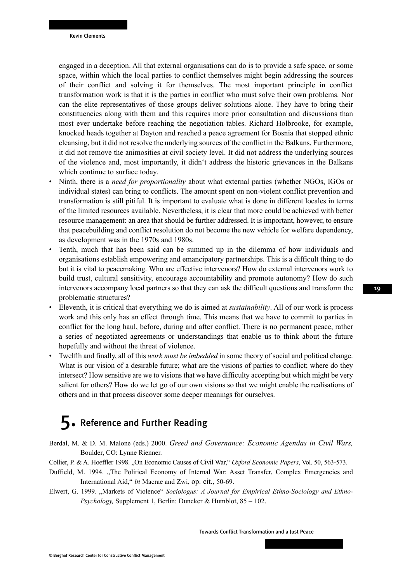engaged in a deception. All that external organisations can do is to provide a safe space, or some space, within which the local parties to conflict themselves might begin addressing the sources of their conflict and solving it for themselves. The most important principle in conflict transformation work is that it is the parties in conflict who must solve their own problems. Nor can the elite representatives of those groups deliver solutions alone. They have to bring their constituencies along with them and this requires more prior consultation and discussions than most ever undertake before reaching the negotiation tables. Richard Holbrooke, for example, knocked heads together at Dayton and reached a peace agreement for Bosnia that stopped ethnic cleansing, but it did not resolve the underlying sources of the conflict in the Balkans. Furthermore, it did not remove the animosities at civil society level. It did not address the underlying sources of the violence and, most importantly, it didn't address the historic grievances in the Balkans which continue to surface today.

- Ninth, there is a *need for proportionality* about what external parties (whether NGOs, IGOs or individual states) can bring to conflicts. The amount spent on non-violent conflict prevention and transformation is still pitiful. It is important to evaluate what is done in different locales in terms of the limited resources available. Nevertheless, it is clear that more could be achieved with better resource management: an area that should be further addressed. It is important, however, to ensure that peacebuilding and conflict resolution do not become the new vehicle for welfare dependency, as development was in the 1970s and 1980s.
- Tenth, much that has been said can be summed up in the dilemma of how individuals and organisations establish empowering and emancipatory partnerships. This is a difficult thing to do but it is vital to peacemaking. Who are effective intervenors? How do external intervenors work to build trust, cultural sensitivity, encourage accountability and promote autonomy? How do such intervenors accompany local partners so that they can ask the difficult questions and transform the problematic structures?
- Eleventh, it is critical that everything we do is aimed at *sustainability*. All of our work is process work and this only has an effect through time. This means that we have to commit to parties in conflict for the long haul, before, during and after conflict. There is no permanent peace, rather a series of negotiated agreements or understandings that enable us to think about the future hopefully and without the threat of violence.
- Twelfth and finally, all of this *work must be imbedded* in some theory of social and political change. What is our vision of a desirable future; what are the visions of parties to conflict; where do they intersect? How sensitive are we to visions that we have difficulty accepting but which might be very salient for others? How do we let go of our own visions so that we might enable the realisations of others and in that process discover some deeper meanings for ourselves.

## 5. Reference and Further Reading

- Berdal, M. & D. M. Malone (eds.) 2000. *Greed and Governance: Economic Agendas in Civil Wars,* Boulder, CO: Lynne Rienner.
- Collier, P. & A. Hoeffler 1998. "On Economic Causes of Civil War," *Oxford Economic Papers*, Vol. 50, 563-573.
- Duffield, M. 1994. "The Political Economy of Internal War: Asset Transfer, Complex Emergencies and International Aid," *in* Macrae and Zwi, op. cit., 50-69.
- Elwert, G. 1999. "Markets of Violence" Sociologus: A Journal for Empirical Ethno-Sociology and Ethno-*Psychology,* Supplement 1, Berlin: Duncker & Humblot, 85 – 102.

Towards Conflict Transformation and a Just Peace